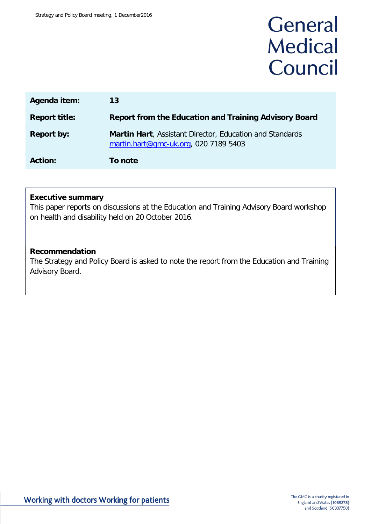# General **Medical** Council

| Agenda item:         | 13                                                                                                       |
|----------------------|----------------------------------------------------------------------------------------------------------|
| <b>Report title:</b> | <b>Report from the Education and Training Advisory Board</b>                                             |
| <b>Report by:</b>    | <b>Martin Hart, Assistant Director, Education and Standards</b><br>martin.hart@gmc-uk.org, 020 7189 5403 |
| <b>Action:</b>       | To note                                                                                                  |

#### **Executive summary**

This paper reports on discussions at the Education and Training Advisory Board workshop on health and disability held on 20 October 2016.

#### **Recommendation**

The Strategy and Policy Board is asked to note the report from the Education and Training Advisory Board.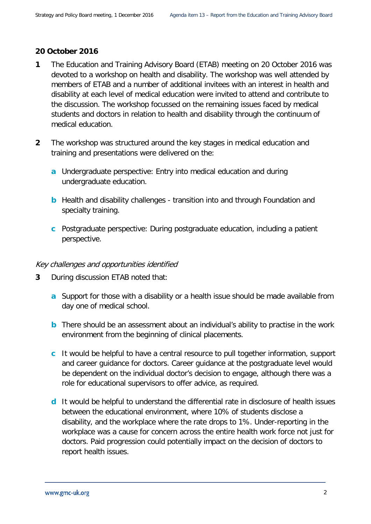#### **20 October 2016**

- **1** The Education and Training Advisory Board (ETAB) meeting on 20 October 2016 was devoted to a workshop on health and disability. The workshop was well attended by members of ETAB and a number of additional invitees with an interest in health and disability at each level of medical education were invited to attend and contribute to the discussion. The workshop focussed on the remaining issues faced by medical students and doctors in relation to health and disability through the continuum of medical education.
- **2** The workshop was structured around the key stages in medical education and training and presentations were delivered on the:
	- **a** Undergraduate perspective: Entry into medical education and during undergraduate education.
	- **b** Health and disability challenges transition into and through Foundation and specialty training.
	- **c** Postgraduate perspective: During postgraduate education, including a patient perspective.

#### Key challenges and opportunities identified

- **3** During discussion ETAB noted that:
	- **a** Support for those with a disability or a health issue should be made available from day one of medical school.
	- **b** There should be an assessment about an individual's ability to practise in the work environment from the beginning of clinical placements.
	- **c** It would be helpful to have a central resource to pull together information, support and career guidance for doctors. Career guidance at the postgraduate level would be dependent on the individual doctor's decision to engage, although there was a role for educational supervisors to offer advice, as required.
	- **d** It would be helpful to understand the differential rate in disclosure of health issues between the educational environment, where 10% of students disclose a disability, and the workplace where the rate drops to 1%. Under-reporting in the workplace was a cause for concern across the entire health work force not just for doctors. Paid progression could potentially impact on the decision of doctors to report health issues.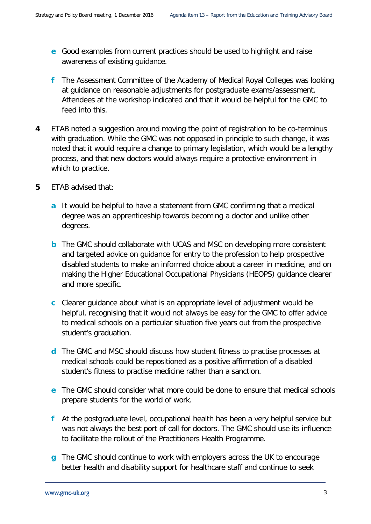- **e** Good examples from current practices should be used to highlight and raise awareness of existing guidance.
- **f** The Assessment Committee of the Academy of Medical Royal Colleges was looking at guidance on reasonable adjustments for postgraduate exams/assessment. Attendees at the workshop indicated and that it would be helpful for the GMC to feed into this.
- **4** ETAB noted a suggestion around moving the point of registration to be co-terminus with graduation. While the GMC was not opposed in principle to such change, it was noted that it would require a change to primary legislation, which would be a lengthy process, and that new doctors would always require a protective environment in which to practice.
- **5** ETAB advised that:
	- **a** It would be helpful to have a statement from GMC confirming that a medical degree was an apprenticeship towards becoming a doctor and unlike other degrees.
	- **b** The GMC should collaborate with UCAS and MSC on developing more consistent and targeted advice on guidance for entry to the profession to help prospective disabled students to make an informed choice about a career in medicine, and on making the Higher Educational Occupational Physicians (HEOPS) guidance clearer and more specific.
	- **c** Clearer guidance about what is an appropriate level of adjustment would be helpful, recognising that it would not always be easy for the GMC to offer advice to medical schools on a particular situation five years out from the prospective student's graduation.
	- **d** The GMC and MSC should discuss how student fitness to practise processes at medical schools could be repositioned as a positive affirmation of a disabled student's fitness to practise medicine rather than a sanction.
	- **e** The GMC should consider what more could be done to ensure that medical schools prepare students for the world of work.
	- **f** At the postgraduate level, occupational health has been a very helpful service but was not always the best port of call for doctors. The GMC should use its influence to facilitate the rollout of the Practitioners Health Programme.
	- **g** The GMC should continue to work with employers across the UK to encourage better health and disability support for healthcare staff and continue to seek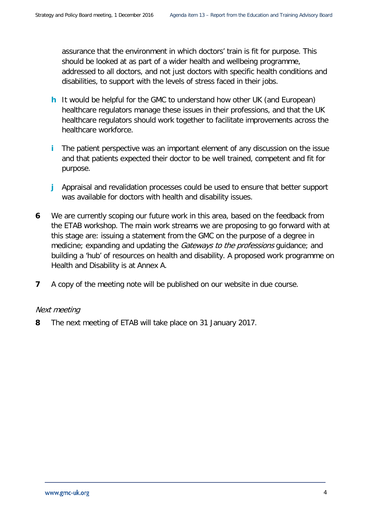assurance that the environment in which doctors' train is fit for purpose. This should be looked at as part of a wider health and wellbeing programme, addressed to all doctors, and not just doctors with specific health conditions and disabilities, to support with the levels of stress faced in their jobs.

- **h** It would be helpful for the GMC to understand how other UK (and European) healthcare regulators manage these issues in their professions, and that the UK healthcare regulators should work together to facilitate improvements across the healthcare workforce.
- **i** The patient perspective was an important element of any discussion on the issue and that patients expected their doctor to be well trained, competent and fit for purpose.
- **j** Appraisal and revalidation processes could be used to ensure that better support was available for doctors with health and disability issues.
- **6** We are currently scoping our future work in this area, based on the feedback from the ETAB workshop. The main work streams we are proposing to go forward with at this stage are: issuing a statement from the GMC on the purpose of a degree in medicine; expanding and updating the *Gateways to the professions* guidance; and building a 'hub' of resources on health and disability. A proposed work programme on Health and Disability is at Annex A.
- **7** A copy of the meeting note will be published on our website in due course.

#### Next meeting

**8** The next meeting of ETAB will take place on 31 January 2017.